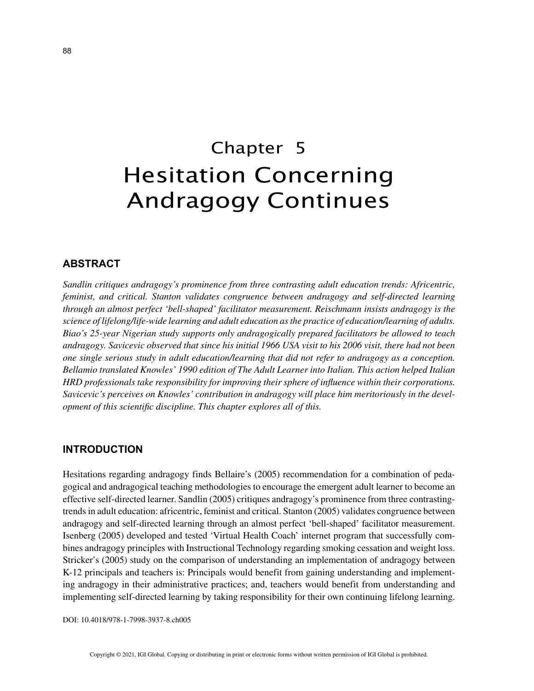# Chapter 5 Hesitation Concerning Andragogy Continues

### **ABSTRACT**

*Sandlin critiques andragogy's prominence from three contrasting adult education trends: Africentric, feminist, and critical. Stanton validates congruence between andragogy and self-directed learning through an almost perfect 'bell-shaped' facilitator measurement. Reischmann insists andragogy is the science of lifelong/life-wide learning and adult education as the practice of education/learning of adults. Biao's 25-year Nigerian study supports only andragogically prepared facilitators be allowed to teach andragogy. Savicevic observed that since his initial 1966 USA visit to his 2006 visit, there had not been one single serious study in adult education/learning that did not refer to andragogy as a conception. Bellamio translated Knowles' 1990 edition of The Adult Learner into Italian. This action helped Italian HRD professionals take responsibility for improving their sphere of influence within their corporations. Savicevic's perceives on Knowles' contribution in andragogy will place him meritoriously in the development of this scientific discipline. This chapter explores all of this.*

#### **INTRODUCTION**

Hesitations regarding andragogy finds Bellaire's (2005) recommendation for a combination of pedagogical and andragogical teaching methodologies to encourage the emergent adult learner to become an effective self-directed learner. Sandlin (2005) critiques andragogy's prominence from three contrastingtrends in adult education: africentric, feminist and critical. Stanton (2005) validates congruence between andragogy and self-directed learning through an almost perfect 'bell-shaped' facilitator measurement. Isenberg (2005) developed and tested 'Virtual Health Coach' internet program that successfully combines andragogy principles with Instructional Technology regarding smoking cessation and weight loss. Stricker's (2005) study on the comparison of understanding an implementation of andragogy between K-12 principals and teachers is: Principals would benefit from gaining understanding and implementing andragogy in their administrative practices; and, teachers would benefit from understanding and implementing self-directed learning by taking responsibility for their own continuing lifelong learning.

DOI: 10.4018/978-1-7998-3937-8.ch005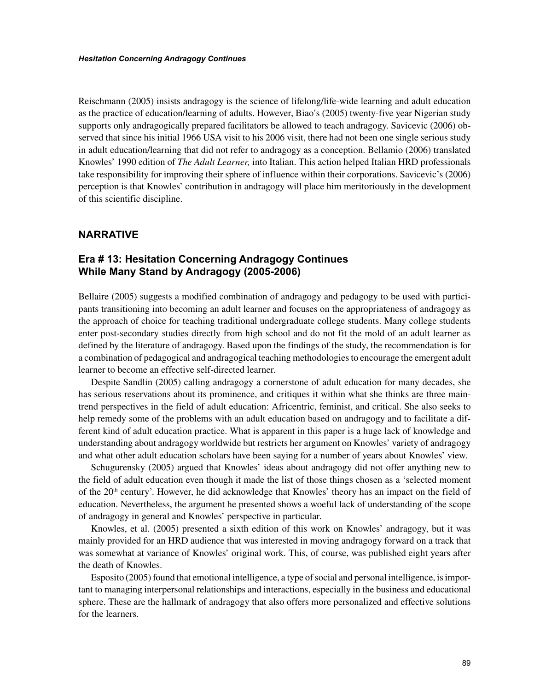Reischmann (2005) insists andragogy is the science of lifelong/life-wide learning and adult education as the practice of education/learning of adults. However, Biao's (2005) twenty-five year Nigerian study supports only andragogically prepared facilitators be allowed to teach andragogy. Savicevic (2006) observed that since his initial 1966 USA visit to his 2006 visit, there had not been one single serious study in adult education/learning that did not refer to andragogy as a conception. Bellamio (2006) translated Knowles' 1990 edition of *The Adult Learner,* into Italian. This action helped Italian HRD professionals take responsibility for improving their sphere of influence within their corporations. Savicevic's (2006) perception is that Knowles' contribution in andragogy will place him meritoriously in the development of this scientific discipline.

#### **NARRATIVE**

# **Era # 13: Hesitation Concerning Andragogy Continues While Many Stand by Andragogy (2005-2006)**

Bellaire (2005) suggests a modified combination of andragogy and pedagogy to be used with participants transitioning into becoming an adult learner and focuses on the appropriateness of andragogy as the approach of choice for teaching traditional undergraduate college students. Many college students enter post-secondary studies directly from high school and do not fit the mold of an adult learner as defined by the literature of andragogy. Based upon the findings of the study, the recommendation is for a combination of pedagogical and andragogical teaching methodologies to encourage the emergent adult learner to become an effective self-directed learner.

Despite Sandlin (2005) calling andragogy a cornerstone of adult education for many decades, she has serious reservations about its prominence, and critiques it within what she thinks are three maintrend perspectives in the field of adult education: Africentric, feminist, and critical. She also seeks to help remedy some of the problems with an adult education based on andragogy and to facilitate a different kind of adult education practice. What is apparent in this paper is a huge lack of knowledge and understanding about andragogy worldwide but restricts her argument on Knowles' variety of andragogy and what other adult education scholars have been saying for a number of years about Knowles' view.

Schugurensky (2005) argued that Knowles' ideas about andragogy did not offer anything new to the field of adult education even though it made the list of those things chosen as a 'selected moment of the 20<sup>th</sup> century'. However, he did acknowledge that Knowles' theory has an impact on the field of education. Nevertheless, the argument he presented shows a woeful lack of understanding of the scope of andragogy in general and Knowles' perspective in particular.

Knowles, et al. (2005) presented a sixth edition of this work on Knowles' andragogy, but it was mainly provided for an HRD audience that was interested in moving andragogy forward on a track that was somewhat at variance of Knowles' original work. This, of course, was published eight years after the death of Knowles.

Esposito (2005) found that emotional intelligence, a type of social and personal intelligence, is important to managing interpersonal relationships and interactions, especially in the business and educational sphere. These are the hallmark of andragogy that also offers more personalized and effective solutions for the learners.